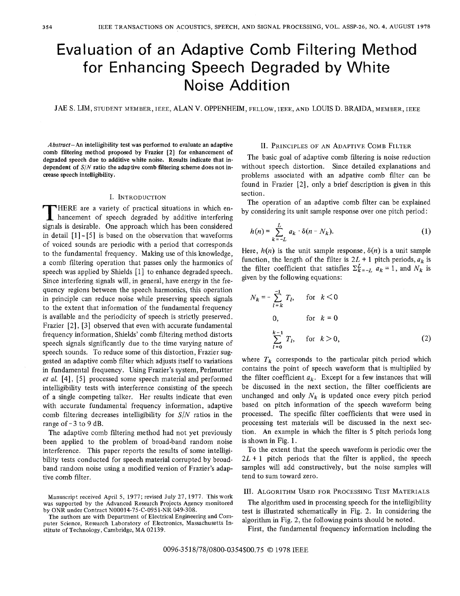# Evaluation of an Adaptive Comb Filtering Method for Enhancing Speech Degraded by White **Noise Addition**

JAE S. LIM, STUDENT MEMBER, JEEE, ALAN V. OPPENHEIM, FELLOW, JEEE, AND LOUIS D. BRAIDA, MEMBER, JEEE

*Abstract-An* intelligibility test **was** performed to evaluate an adaptive comb filtering method proposed by Frazier **[2]** for enhancement of degraded speech due to additive white noise. Results indicate that independent **of** *SIN* ratio the adaptive comb filtering scheme does not increase speech intelligibility.

### I. INTRODUCTION

HERE are a variety of practical situations in which enhancement of speech degraded by additive interfering signals is desirable. One approach which has been considered in detail  $[1]$  -  $[5]$  is based on the observation that waveforms of voiced sounds are periodic with a period that corresponds to the fundamental frequency. Making use of this knowledge, a comb filtering operation that passes only the harmonics of speech was applied by Shields [1] to enhance degraded speech. Since interfering signals will, in general, have energy in the frequency regions between the speech harmonics, this operation in principle can reduce noise while preserving speech signals to the extent that information of the fundamental frequency is available and the periodicity of speech is strictly preserved. Frazier *[2], [3]* observed that even with accurate fundamental frequency information, Shields' comb filtering method distorts speech signals significantly due to the time varying nature of speech sounds. To reduce some of this distortion, Frazier suggested an adaptive comb filter which adjusts itself to variations in fundamental frequency. Using Frazier's system, Perlmutter et al. [4], [5] processed some speech material and performed intelligibility tests with interference consisting of the speech of a single competing talker. Her results indicate that even with accurate fundamental frequency information, adaptive comb filtering decreases intelligibility for *SIN* ratios in the range of  $-3$  to 9 dB.

The adaptive comb filtering method had not yet previously been applied to the problem of broad-band random noise interference. This paper reports the results of some intelligibility tests conducted for speech material corrupted by broadband random noise using a modified version of Frazier's adaptive comb filter.

## 11. PRINCIPLES OF**AN** ADAPTIVE COMB FILTER

The basic goal of adaptive comb filtering is noise reduction without speech distortion. Since detailed explanations and problems associated with an adpative comb filter can be found in Frazier *[2],* only a brief description is given in this section.

The operation of an adaptive comb filter can be explained by considering its unit sample response over one pitch period:

$$
h(n) = \sum_{k=-L}^{L} a_k \cdot \delta(n - N_k). \tag{1}
$$

Here,  $h(n)$  is the unit sample response,  $\delta(n)$  is a unit sample function, the length of the filter is  $2L + 1$  pitch periods,  $a_k$  is the filter coefficient that satisfies  $\Sigma_{k=-L}^{L} a_k = 1$ , and  $N_k$  is given by the following equations:

$$
N_k = -\sum_{l=k}^{-1} T_l, \quad \text{for } k < 0
$$
  
0, for  $k = 0$   

$$
\sum_{l=0}^{k-1} T_l, \quad \text{for } k > 0,
$$
 (2)

where  $T_k$  corresponds to the particular pitch period which contains the point of speech waveform that is multiplied by the filter coefficient  $a_k$ . Except for a few instances that will be discussed in the next section, the filter coefficients are unchanged and only  $N_k$  is updated once every pitch period based on pitch information of the speech waveform being processed. The specific filter coefficients that were used in processing test materials will be discussed in the next section. *An* example in which the filter is 5 pitch periods long is shown in Fig. 1.

To the extent that the speech waveform is periodic over the  $2L + 1$  pitch periods that the filter is applied, the speech samples will add constructively, but the noise samples will tend to sum toward zero.

111. ALGORITHM USED FOR PROCESSING TEST MATERIALS

The algorithm used in processing speech for the intelligibility test is illustrated schematically in Fig. *2.* In considering the algorithm in Fig. *2,* the following points should be noted.

First, the fundamental frequency information including the

Manuscript received April **5,** 1977; revised July 27,1977. **This work**  was supported by the Advanced Research Projects Agency monitored by ONR under Contract N00014-75-C-0951-NR 049-308.

The authors are with Department of Electrical Engineering and Computer Science, Research Laboratory of Electronics, Massachusetts Institute of Technology, Cambridge, **MA** 02139.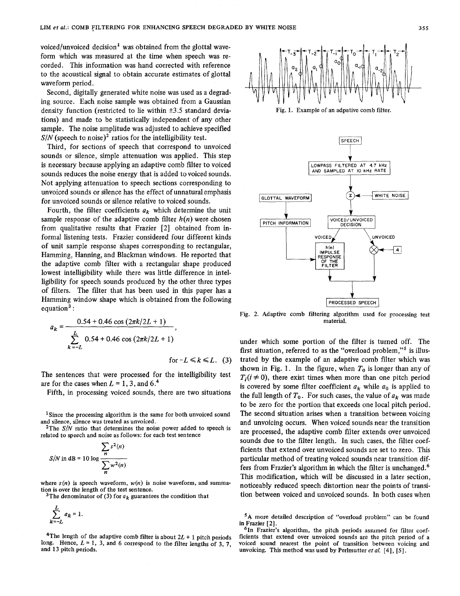voiced/unvoiced decision<sup>1</sup> was obtained from the glottal waveform which was measured at the time when speech was recorded. This information was hand corrected with reference to the acoustical signal to obtain accurate estimates of glottal waveform period.

Second, digitally generated white noise was used as a degrading source. Each noise sample was obtained from a Gaussian density function (restricted to lie within **k3.5** standard deviations) and made to be statistically independent of **any** other sample. The noise amplitude was adjusted to achieve specified  $S/N$  (speech to noise)<sup>2</sup> ratios for the intelligibility test.

Third, for sections of speech that correspond to unvoiced sounds or silence, simple attenuation was applied. This step is necessary because applying an adaptive comb filter to voiced sounds reduces the noise energy that is added to voiced sounds. Not applying attenuation to speech sections corresponding to unvoiced sounds or silence has the effect of unnatural emphasis for unvoiced sounds or silence relative to voiced sounds.

Fourth, the filter coefficients  $a_k$  which determine the unit sample response of the adaptive comb filter  $h(n)$  were chosen from qualitative results that Frazier *[2]* obtained from informal listening tests. Frazier considered four different kinds of unit sample response shapes corresponding to rectangular, Hamming, Hanning, and Blackman windows. He reported that the adaptive comb filter with a rectangular shape produced lowest intelligibility while there was little difference in intelligibility for speech sounds produced by the other three types of filters. The filter that has been used in this paper has a Hamming window shape which is obtained from the following equation<sup>3</sup>:

$$
a_k = \frac{0.54 + 0.46 \cos(2\pi k/2L + 1)}{\sum_{k=-L}^{L} 0.54 + 0.46 \cos(2\pi k/2L + 1)},
$$

for  $-L \le k \le L$ . (3)

The sentences that were processed for the intelligibility test are for the cases when  $L = 1, 3$ , and  $6<sup>4</sup>$ 

Fifth, in processing voiced sounds, there are two situations

<sup>1</sup>Since the processing algorithm is the same for both unvoiced sound and silence, silence was treated as unvoiced.

2The *S/N* ratio that determines the noise power added to speech is related to speech and noise as follows: for each test sentence

area to speech and noise as follows: To  
\n
$$
\sum_{n} s^{2}(n)
$$
\n
$$
S/N \text{ in dB} = 10 \log \frac{n}{\sum_{n} w^{2}(n)}
$$

where  $s(n)$  is speech waveform,  $w(n)$  is noise waveform, and summation is over the length of the test sentence.

<sup>3</sup>The denominator of (3) for  $a_k$  guarantees the condition that

$$
\sum_{k=-L}^{L} a_k = 1.
$$

<sup>4</sup>The length of the adaptive comb filter is about  $2L + 1$  pitch periods long. Hence,  $L = 1$ , 3, and 6 correspond to the filter lengths of 3, 7, and **13** pitch periods.







Fig. 2. Adaptive comb filtering algorithm used for processing test material.

under which some portion of the filter is turned off. The first situation, referred to as the "overload problem,"<sup>5</sup> is illustrated by the example of **an** adaptive comb filter which was shown in Fig. 1. In the figure, when  $T_0$  is longer than any of  $T_i(i \neq 0)$ , there exist times when more than one pitch period is covered by some filter coefficient  $a_k$  while  $a_0$  is applied to the full length of  $T_0$ . For such cases, the value of  $a_k$  was made to be zero for the portion that exceeds one local pitch period. The second situation arises when a transition between voicing and unvoicing occurs. When voiced sounds near the transition are processed, the adaptive comb filter extends over unvoiced sounds due to the filter length. In such cases, the filter coefficients that extend over unvoiced sounds are set to zero. This particular method of treating voiced sounds near transition differs from Frazier's algorithm in which the filter is unchanged.6 This modification, which will be discussed in a later section, noticeably reduced speech distortion near the points of transition between voiced and unvoiced sounds. In both cases when

**<sup>&#</sup>x27;A** more detailed description of "overload problem" can be found in Frazier [ 21.

**<sup>61</sup>n** Frazier's algorithm, the pitch periods assumed for filter coefficients that extend over unvoiced sounds are the pitch period of a voiced sound nearest the point of transition between voicing and unvoicing. This method was used **by** Perlmutter *et al.* **[4], [SI.**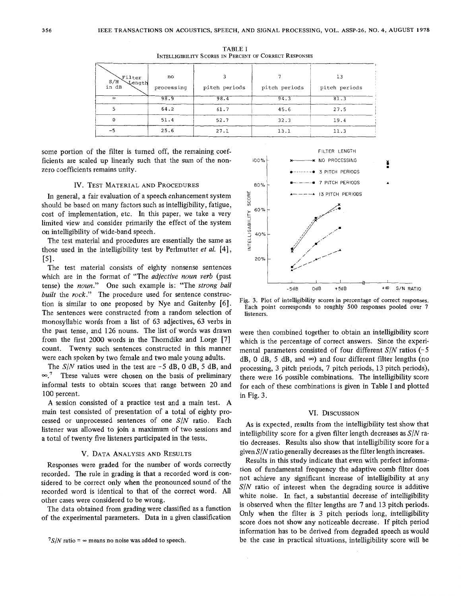| Filter<br>$S/N$<br>in dB<br>Length | no<br>processing | pitch periods | pitch periods | 13<br>pitch periods |
|------------------------------------|------------------|---------------|---------------|---------------------|
| $\infty$                           | 98.9             | 98.4          | 94.3          | 81.3                |
|                                    | 64.2             | 61.7          | 45.6          | 27.5                |
|                                    | 51.4             | 52.7          | 32.3          | 19.4                |
| $-5$                               | 25.6             | 27.1          | 13.1          | 11.3                |

TABLE **I INTELLIGIBILITY SCORES IN PERCENT OF CORRECT RESPONSES** 

some portion of the filter is turned off, the remaining coefficients are scaled up linearly such that the sum of the nonzero coefficients remains unity.

#### **IV.** TEST MATERIAL AND PROCEDURES

In general, a fair evaluation of a speech enhancement system should be based on many factors such as intelligibility, fatigue, cost of implementation, etc. In this paper, we take a very limited view and consider primarily the effect of the system on intelligibility of wide-band speech.

The test material and procedures are essentially the same as those used in the intelligibility test by Perlmutter *et al.* [4],  $[5]$ .

The test material consists of eighty nonsense sentences which are in the format of "The *adjective noun verb* (past tense) the *noun."* One such example is: "The *strong ball built* the *rock.''* The procedure used for sentence construction is similar to one proposed by Nye and Gaitenby *[6].*  The sentences were constructed from a random selection of monosyllabic words from a list of 63 adjectives, 63 verbs in the past tense, and 126 nouns. The list of words was drawn from the first 2000 words in the Thorndike and Lorge [7] count. Twenty such sentences constructed in this manner were each spoken by two female and two male young adults.

The *S/N* ratios used in the test are -5 dB, 0 dB, 5 dB, and  $\infty$ .<sup>7</sup> These values were chosen on the basis of preliminary informal tests to obtain scores that range between 20 and 100 percent.

A session consisted of a practice test and a main test. A main test consisted of presentation of a total of eighty processed or unprocessed sentences of one *S/N* ratio. Each listener was allowed to join a maximum of two sessions and a total of twenty five listeners participated in the tests.

#### **V.** DATA ANALYSIS AND RESULTS

Responses were graded for the number of words correctly recorded. The rule in grading is that a recorded word is considered to be correct only when the pronounced sound of the recorded word is identical to that of the correct word. All other cases were considered to be wrong.

The data obtained from grading were classified as a function of the experimental parameters. Data in a given classification



**Fig. 3. Plot** of **intelligibility scores in percentage** of **correct responses. Each point corresponds** to **roughly SO0 responses pooled over 7 listeners.** 

were then combined together to obtain an intelligibility score which is the percentage of correct answers. Since the experimental parameters consisted of four different  $S/N$  ratios  $(-5)$ dB, 0 dB, 5 dB, and  $\infty$ ) and four different filter lengths (no processing, 3 pitch periods, 7 pitch periods, 13 pitch periods), there were 16 possible combinations. The intelligibility score for each of these combinations is given in Table **I** and plotted in Fig. 3.

#### **VI.** DISCUSSION

**As** is expected, results from the intelligibility test show that intelligibility score for a given filter length decreases as *SIN* ratio decreases. Results also show that intelligibility score for a given  $S/N$  ratio generally decreases as the filter length increases.

Results in this study indicate that even with perfect information of fundamental frequency the adaptive comb filter does not achieve any significant increase of intelligibility at any *S/N* ratio of interest when the degrading source is additive white noise. In fact, a substantial decrease of intelligibility is observed when the filter lengths are 7 and 13 pitch periods. Only when the filter is 3 pitch periods long, intelligibility score does not show any noticeable decrease. If pitch period information has to be derived from degraded speech as would be the case in practical situations, intelligibility score will be

 $7S/N$  ratio =  $\infty$  means no noise was added to speech.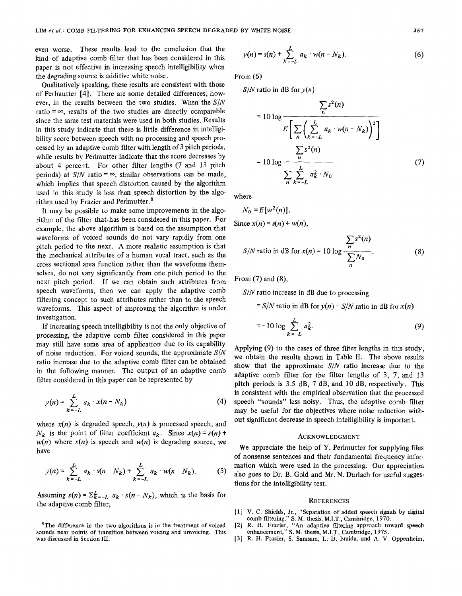even worse. These results lead to the conclusion that the kind of adaptive comb filter that has been considered in this paper is not effective in increasing speech intelligibility when the degrading source is additive white noise.

Qualitatively speaking, these results are consistent with those of Perlmutter [4]. There are some detailed differences, however, in the results between the two studies. When the *SIN*  ratio  $= \infty$ , results of the two studies are directly comparable since the same test materials were used in both studies. Results in this study indicate that there is little difference in intelligibility score between speech with no processing and speech processed by an adaptive comb filter with length of 3 pitch periods, while results by Perlmutter indicate that the score decreases by about 4 percent. For other filter lengths (7 and 13 pitch periods) at  $S/N$  ratio =  $\infty$ , similar observations can be made, which implies that speech distortion caused by the algorithm used in this study is less than speech distortion by the algorithm used by Frazier and Perlmutter.<sup>8</sup>

It may be possible to make some improvements in the algorithm of the filter that has been considered in this paper. For example, the above algorithm is based on the assumption that waveforms of voiced sounds do not vary rapidly from one pitch period to the next. A more realistic assumption is that the mechanical attributes of a human vocal tract, such as the cross sectional area function rather than the waveforms themselves, do not vary significantly from one pitch period to the next pitch period. If we can obtain such attributes from speech waveforms, then we can apply the adaptive comb filtering concept to such attributes rather than to the speech waveforms. This aspect of improving the algorithm is under investigation.

If increasing speech intelligibility is not the only objective of processing, the adaptive comb filter considered in this paper may still have some area of application due to its capability of noise reduction. For voiced sounds, the approximate *SIN*  ratio increase due to the adaptive comb filter can be obtained in the following manner. The output of an adaptive comb filter considered in this paper can be represented by

$$
y(n) = \sum_{k=-L}^{L} a_k \cdot x(n - N_k) \tag{4}
$$

where  $x(n)$  is degraded speech,  $y(n)$  is processed speech, and  $N_k$  is the point of filter coefficient  $a_k$ . Since  $x(n) = s(n) +$  $w(n)$  where  $s(n)$  is speech and  $w(n)$  is degrading source, we have

$$
y(n) = \sum_{k=-L}^{L} a_k \cdot s(n - N_k) + \sum_{k=-L}^{L} a_k \cdot w(n - N_k).
$$
 (5)

Assuming  $s(n) = \sum_{k=-L}^{L} a_k \cdot s(n - N_k)$ , which is the basis for the adaptive comb filter,

**8The difference in the two algorithms is in the treatment of voiced sounds near points of transition between voicing and unvoicing. This was discussed in Section 111.** 

$$
y(n) = s(n) + \sum_{k=-L}^{L} a_k \cdot w(n - N_k).
$$
 (6)

From *(6)* 

 $S/N$ <sup>ratio in dB</sup> for  $y(n)$ 

$$
= 10 \log \frac{\sum_{n} s^{2}(n)}{E\left[\sum_{n} \left(\sum_{k=-L}^{L} a_{k} \cdot w(n-N_{k})\right)^{2}\right]}
$$

$$
= 10 \log \frac{\sum_{n} s^{2}(n)}{\sum_{n} \sum_{k=-L}^{L} a_{k}^{2} \cdot N_{0}}
$$
(7)

where

$$
N_0 = E[w^2(n)].
$$
  
Since  $x(n) = s(n) + w(n)$ ,

$$
S/N \text{ ratio in dB for } x(n) = 10 \log \frac{\sum_{n} s^{2}(n)}{\sum_{n} N_{0}}.
$$
 (8)

From (7) and *(8),* 

*SIN* ratio increase in dB due to processing

 $= S/N$  ratio in dB for  $y(n) - S/N$  ratio in dB for  $x(n)$ 

$$
= -10 \log \sum_{k=-L}^{L} a_k^2.
$$
 (9)

Applying (9) to the cases of three filter lengths in this study, we obtain the results shown in Table 11. The above results show that the approximate *S/N* ratio increase due to the adaptive comb filter for the filter lengths of **3,** 7, and 13 pitch periods is 3.5 dB, 7 dB, and 10 dB, respectively. This is consistent with the empirical observation that the processed speech "sounds" less noisy. Thus, the adaptive comb filter may be useful for the objectives where noise reduction without significant decrease in speech intelligibility is important.

#### ACKNOWLEDGMENT

We appreciate the help of Y. Perlmutter for supplying files of nonsense sentences and their fundamental frequency information which were used in the processing. Our appreciation also goes to Dr. B. Gold and Mr. N. Durlach for useful suggestions for the intelligibility test.

#### **REFERENCES**

- **[l] V. C. Shields, Jr., "Separation of added speech signals by digital comb filtering," S. M. thesis, M.I.T., Cambridge, 1970.**
- **[2] R. H. Frazier, "An adaptive filtering approach toward speech enhancement," S. M. thesis, M.I:T., Cambridge, 1975.**
- **[3] R. H. Frazier, S. Samsam,** L. **D. Braida, and A. V. Oppenheim,**